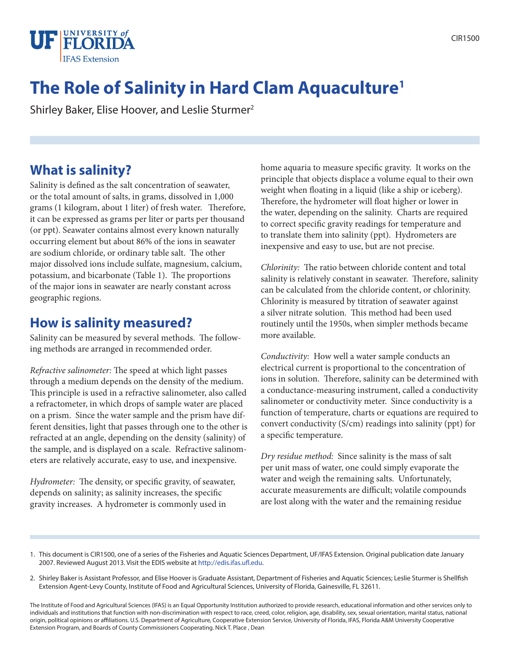

# **The Role of Salinity in Hard Clam Aquaculture1**

Shirley Baker, Elise Hoover, and Leslie Sturmer<sup>2</sup>

### **What is salinity?**

Salinity is defined as the salt concentration of seawater, or the total amount of salts, in grams, dissolved in 1,000 grams (1 kilogram, about 1 liter) of fresh water. Therefore, it can be expressed as grams per liter or parts per thousand (or ppt). Seawater contains almost every known naturally occurring element but about 86% of the ions in seawater are sodium chloride, or ordinary table salt. The other major dissolved ions include sulfate, magnesium, calcium, potassium, and bicarbonate (Table 1). The proportions of the major ions in seawater are nearly constant across geographic regions.

### **How is salinity measured?**

Salinity can be measured by several methods. The following methods are arranged in recommended order.

*Refractive salinometer:* The speed at which light passes through a medium depends on the density of the medium. This principle is used in a refractive salinometer, also called a refractometer, in which drops of sample water are placed on a prism. Since the water sample and the prism have different densities, light that passes through one to the other is refracted at an angle, depending on the density (salinity) of the sample, and is displayed on a scale. Refractive salinometers are relatively accurate, easy to use, and inexpensive.

*Hydrometer:* The density, or specific gravity, of seawater, depends on salinity; as salinity increases, the specific gravity increases. A hydrometer is commonly used in

home aquaria to measure specific gravity. It works on the principle that objects displace a volume equal to their own weight when floating in a liquid (like a ship or iceberg). Therefore, the hydrometer will float higher or lower in the water, depending on the salinity. Charts are required to correct specific gravity readings for temperature and to translate them into salinity (ppt). Hydrometers are inexpensive and easy to use, but are not precise.

*Chlorinity:* The ratio between chloride content and total salinity is relatively constant in seawater. Therefore, salinity can be calculated from the chloride content, or chlorinity. Chlorinity is measured by titration of seawater against a silver nitrate solution. This method had been used routinely until the 1950s, when simpler methods became more available.

*Conductivity:* How well a water sample conducts an electrical current is proportional to the concentration of ions in solution. Therefore, salinity can be determined with a conductance-measuring instrument, called a conductivity salinometer or conductivity meter. Since conductivity is a function of temperature, charts or equations are required to convert conductivity (S/cm) readings into salinity (ppt) for a specific temperature.

*Dry residue method:* Since salinity is the mass of salt per unit mass of water, one could simply evaporate the water and weigh the remaining salts. Unfortunately, accurate measurements are difficult; volatile compounds are lost along with the water and the remaining residue

- 1. This document is CIR1500, one of a series of the Fisheries and Aquatic Sciences Department, UF/IFAS Extension. Original publication date January 2007. Reviewed August 2013. Visit the EDIS website at http://edis.ifas.ufl.edu.
- 2. Shirley Baker is Assistant Professor, and Elise Hoover is Graduate Assistant, Department of Fisheries and Aquatic Sciences; Leslie Sturmer is Shellfish Extension Agent-Levy County, Institute of Food and Agricultural Sciences, University of Florida, Gainesville, FL 32611.

The Institute of Food and Agricultural Sciences (IFAS) is an Equal Opportunity Institution authorized to provide research, educational information and other services only to individuals and institutions that function with non-discrimination with respect to race, creed, color, religion, age, disability, sex, sexual orientation, marital status, national origin, political opinions or affiliations. U.S. Department of Agriculture, Cooperative Extension Service, University of Florida, IFAS, Florida A&M University Cooperative Extension Program, and Boards of County Commissioners Cooperating. Nick T. Place , Dean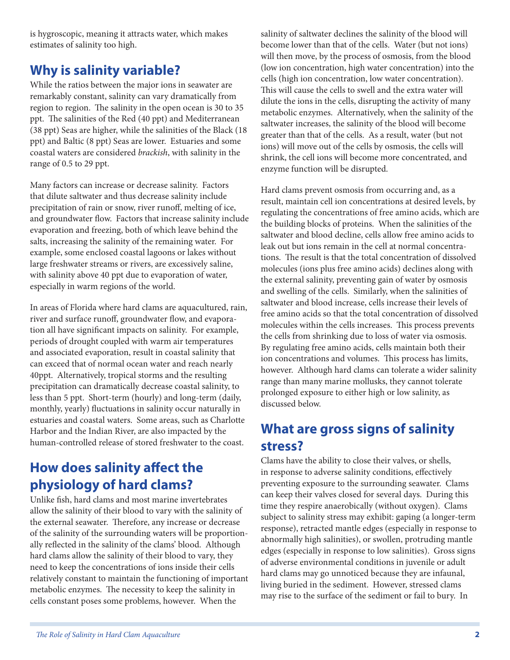is hygroscopic, meaning it attracts water, which makes estimates of salinity too high.

## **Why is salinity variable?**

While the ratios between the major ions in seawater are remarkably constant, salinity can vary dramatically from region to region. The salinity in the open ocean is 30 to 35 ppt. The salinities of the Red (40 ppt) and Mediterranean (38 ppt) Seas are higher, while the salinities of the Black (18 ppt) and Baltic (8 ppt) Seas are lower. Estuaries and some coastal waters are considered *brackish*, with salinity in the range of 0.5 to 29 ppt.

Many factors can increase or decrease salinity. Factors that dilute saltwater and thus decrease salinity include precipitation of rain or snow, river runoff, melting of ice, and groundwater flow. Factors that increase salinity include evaporation and freezing, both of which leave behind the salts, increasing the salinity of the remaining water. For example, some enclosed coastal lagoons or lakes without large freshwater streams or rivers, are excessively saline, with salinity above 40 ppt due to evaporation of water, especially in warm regions of the world.

In areas of Florida where hard clams are aquacultured, rain, river and surface runoff, groundwater flow, and evaporation all have significant impacts on salinity. For example, periods of drought coupled with warm air temperatures and associated evaporation, result in coastal salinity that can exceed that of normal ocean water and reach nearly 40ppt. Alternatively, tropical storms and the resulting precipitation can dramatically decrease coastal salinity, to less than 5 ppt. Short-term (hourly) and long-term (daily, monthly, yearly) fluctuations in salinity occur naturally in estuaries and coastal waters. Some areas, such as Charlotte Harbor and the Indian River, are also impacted by the human-controlled release of stored freshwater to the coast.

## **How does salinity affect the physiology of hard clams?**

Unlike fish, hard clams and most marine invertebrates allow the salinity of their blood to vary with the salinity of the external seawater. Therefore, any increase or decrease of the salinity of the surrounding waters will be proportionally reflected in the salinity of the clams' blood. Although hard clams allow the salinity of their blood to vary, they need to keep the concentrations of ions inside their cells relatively constant to maintain the functioning of important metabolic enzymes. The necessity to keep the salinity in cells constant poses some problems, however. When the

salinity of saltwater declines the salinity of the blood will become lower than that of the cells. Water (but not ions) will then move, by the process of osmosis, from the blood (low ion concentration, high water concentration) into the cells (high ion concentration, low water concentration). This will cause the cells to swell and the extra water will dilute the ions in the cells, disrupting the activity of many metabolic enzymes. Alternatively, when the salinity of the saltwater increases, the salinity of the blood will become greater than that of the cells. As a result, water (but not ions) will move out of the cells by osmosis, the cells will shrink, the cell ions will become more concentrated, and enzyme function will be disrupted.

Hard clams prevent osmosis from occurring and, as a result, maintain cell ion concentrations at desired levels, by regulating the concentrations of free amino acids, which are the building blocks of proteins. When the salinities of the saltwater and blood decline, cells allow free amino acids to leak out but ions remain in the cell at normal concentrations. The result is that the total concentration of dissolved molecules (ions plus free amino acids) declines along with the external salinity, preventing gain of water by osmosis and swelling of the cells. Similarly, when the salinities of saltwater and blood increase, cells increase their levels of free amino acids so that the total concentration of dissolved molecules within the cells increases. This process prevents the cells from shrinking due to loss of water via osmosis. By regulating free amino acids, cells maintain both their ion concentrations and volumes. This process has limits, however. Although hard clams can tolerate a wider salinity range than many marine mollusks, they cannot tolerate prolonged exposure to either high or low salinity, as discussed below.

## **What are gross signs of salinity stress?**

Clams have the ability to close their valves, or shells, in response to adverse salinity conditions, effectively preventing exposure to the surrounding seawater. Clams can keep their valves closed for several days. During this time they respire anaerobically (without oxygen). Clams subject to salinity stress may exhibit: gaping (a longer-term response), retracted mantle edges (especially in response to abnormally high salinities), or swollen, protruding mantle edges (especially in response to low salinities). Gross signs of adverse environmental conditions in juvenile or adult hard clams may go unnoticed because they are infaunal, living buried in the sediment. However, stressed clams may rise to the surface of the sediment or fail to bury. In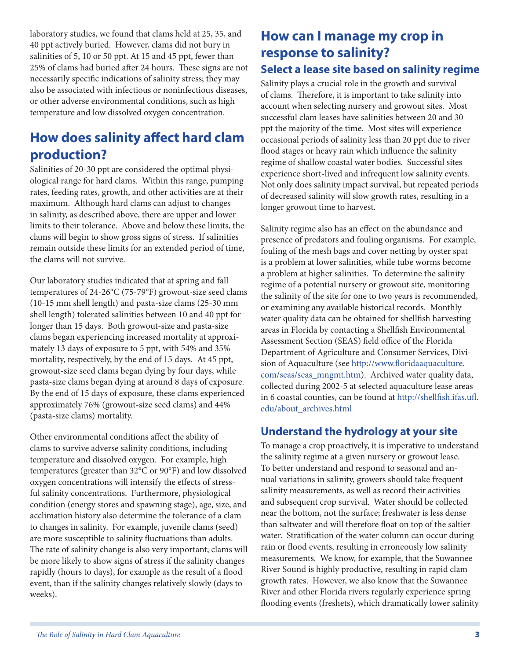laboratory studies, we found that clams held at 25, 35, and 40 ppt actively buried. However, clams did not bury in salinities of 5, 10 or 50 ppt. At 15 and 45 ppt, fewer than 25% of clams had buried after 24 hours. These signs are not necessarily specific indications of salinity stress; they may also be associated with infectious or noninfectious diseases, or other adverse environmental conditions, such as high temperature and low dissolved oxygen concentration.

## **How does salinity affect hard clam production?**

Salinities of 20-30 ppt are considered the optimal physiological range for hard clams. Within this range, pumping rates, feeding rates, growth, and other activities are at their maximum. Although hard clams can adjust to changes in salinity, as described above, there are upper and lower limits to their tolerance. Above and below these limits, the clams will begin to show gross signs of stress. If salinities remain outside these limits for an extended period of time, the clams will not survive.

Our laboratory studies indicated that at spring and fall temperatures of 24-26°C (75-79°F) growout-size seed clams (10-15 mm shell length) and pasta-size clams (25-30 mm shell length) tolerated salinities between 10 and 40 ppt for longer than 15 days. Both growout-size and pasta-size clams began experiencing increased mortality at approximately 13 days of exposure to 5 ppt, with 54% and 35% mortality, respectively, by the end of 15 days. At 45 ppt, growout-size seed clams began dying by four days, while pasta-size clams began dying at around 8 days of exposure. By the end of 15 days of exposure, these clams experienced approximately 76% (growout-size seed clams) and 44% (pasta-size clams) mortality.

Other environmental conditions affect the ability of clams to survive adverse salinity conditions, including temperature and dissolved oxygen. For example, high temperatures (greater than 32°C or 90°F) and low dissolved oxygen concentrations will intensify the effects of stressful salinity concentrations. Furthermore, physiological condition (energy stores and spawning stage), age, size, and acclimation history also determine the tolerance of a clam to changes in salinity. For example, juvenile clams (seed) are more susceptible to salinity fluctuations than adults. The rate of salinity change is also very important; clams will be more likely to show signs of stress if the salinity changes rapidly (hours to days), for example as the result of a flood event, than if the salinity changes relatively slowly (days to weeks).

### **How can I manage my crop in response to salinity? Select a lease site based on salinity regime**

Salinity plays a crucial role in the growth and survival of clams. Therefore, it is important to take salinity into account when selecting nursery and growout sites. Most successful clam leases have salinities between 20 and 30 ppt the majority of the time. Most sites will experience occasional periods of salinity less than 20 ppt due to river flood stages or heavy rain which influence the salinity regime of shallow coastal water bodies. Successful sites experience short-lived and infrequent low salinity events. Not only does salinity impact survival, but repeated periods of decreased salinity will slow growth rates, resulting in a longer growout time to harvest.

Salinity regime also has an effect on the abundance and presence of predators and fouling organisms. For example, fouling of the mesh bags and cover netting by oyster spat is a problem at lower salinities, while tube worms become a problem at higher salinities. To determine the salinity regime of a potential nursery or growout site, monitoring the salinity of the site for one to two years is recommended, or examining any available historical records. Monthly water quality data can be obtained for shellfish harvesting areas in Florida by contacting a Shellfish Environmental Assessment Section (SEAS) field office of the Florida Department of Agriculture and Consumer Services, Division of Aquaculture (see http://www.floridaaquaculture. com/seas/seas\_mngmt.htm). Archived water quality data, collected during 2002-5 at selected aquaculture lease areas in 6 coastal counties, can be found at http://shellfish.ifas.ufl. edu/about\_archives.html

### **Understand the hydrology at your site**

To manage a crop proactively, it is imperative to understand the salinity regime at a given nursery or growout lease. To better understand and respond to seasonal and annual variations in salinity, growers should take frequent salinity measurements, as well as record their activities and subsequent crop survival. Water should be collected near the bottom, not the surface; freshwater is less dense than saltwater and will therefore float on top of the saltier water. Stratification of the water column can occur during rain or flood events, resulting in erroneously low salinity measurements. We know, for example, that the Suwannee River Sound is highly productive, resulting in rapid clam growth rates. However, we also know that the Suwannee River and other Florida rivers regularly experience spring flooding events (freshets), which dramatically lower salinity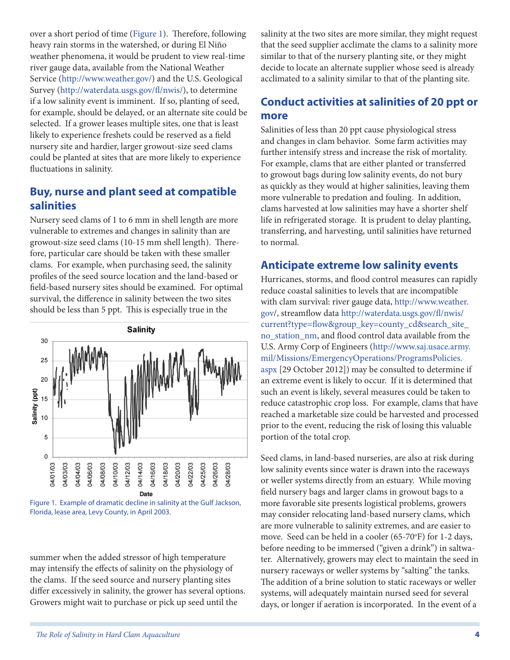over a short period of time (Figure 1). Therefore, following heavy rain storms in the watershed, or during El Niño weather phenomena, it would be prudent to view real-time river gauge data, available from the National Weather Service (http://www.weather.gov/) and the U.S. Geological Survey (http://waterdata.usgs.gov/fl/nwis/), to determine if a low salinity event is imminent. If so, planting of seed, for example, should be delayed, or an alternate site could be selected. If a grower leases multiple sites, one that is least likely to experience freshets could be reserved as a field nursery site and hardier, larger growout-size seed clams could be planted at sites that are more likely to experience fluctuations in salinity.

#### **Buy, nurse and plant seed at compatible salinities**

Nursery seed clams of 1 to 6 mm in shell length are more vulnerable to extremes and changes in salinity than are growout-size seed clams (10-15 mm shell length). Therefore, particular care should be taken with these smaller clams. For example, when purchasing seed, the salinity profiles of the seed source location and the land-based or field-based nursery sites should be examined. For optimal survival, the difference in salinity between the two sites should be less than 5 ppt. This is especially true in the



Figure 1. Example of dramatic decline in salinity at the Gulf Jackson, Florida, lease area, Levy County, in April 2003.

summer when the added stressor of high temperature may intensify the effects of salinity on the physiology of the clams. If the seed source and nursery planting sites differ excessively in salinity, the grower has several options. Growers might wait to purchase or pick up seed until the

salinity at the two sites are more similar, they might request that the seed supplier acclimate the clams to a salinity more similar to that of the nursery planting site, or they might decide to locate an alternate supplier whose seed is already acclimated to a salinity similar to that of the planting site.

### **Conduct activities at salinities of 20 ppt or more**

Salinities of less than 20 ppt cause physiological stress and changes in clam behavior. Some farm activities may further intensify stress and increase the risk of mortality. For example, clams that are either planted or transferred to growout bags during low salinity events, do not bury as quickly as they would at higher salinities, leaving them more vulnerable to predation and fouling. In addition, clams harvested at low salinities may have a shorter shelf life in refrigerated storage. It is prudent to delay planting, transferring, and harvesting, until salinities have returned to normal.

### **Anticipate extreme low salinity events**

Hurricanes, storms, and flood control measures can rapidly reduce coastal salinities to levels that are incompatible with clam survival: river gauge data, http://www.weather. gov/, streamflow data http://waterdata.usgs.gov/fl/nwis/ current?type=flow&group\_key=county\_cd&search\_site\_ no\_station\_nm, and flood control data available from the U.S. Army Corp of Engineers (http://www.saj.usace.army. mil/Missions/EmergencyOperations/ProgramsPolicies. aspx [29 October 2012]) may be consulted to determine if an extreme event is likely to occur. If it is determined that such an event is likely, several measures could be taken to reduce catastrophic crop loss. For example, clams that have reached a marketable size could be harvested and processed prior to the event, reducing the risk of losing this valuable portion of the total crop.

Seed clams, in land-based nurseries, are also at risk during low salinity events since water is drawn into the raceways or weller systems directly from an estuary. While moving field nursery bags and larger clams in growout bags to a more favorable site presents logistical problems, growers may consider relocating land-based nursery clams, which are more vulnerable to salinity extremes, and are easier to move. Seed can be held in a cooler (65-70°F) for 1-2 days, before needing to be immersed ("given a drink") in saltwater. Alternatively, growers may elect to maintain the seed in nursery raceways or weller systems by "salting" the tanks. The addition of a brine solution to static raceways or weller systems, will adequately maintain nursed seed for several days, or longer if aeration is incorporated. In the event of a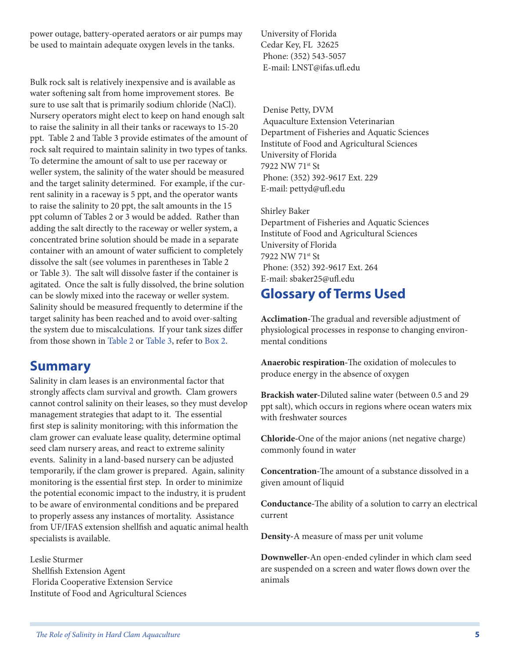power outage, battery-operated aerators or air pumps may be used to maintain adequate oxygen levels in the tanks.

Bulk rock salt is relatively inexpensive and is available as water softening salt from home improvement stores. Be sure to use salt that is primarily sodium chloride (NaCl). Nursery operators might elect to keep on hand enough salt to raise the salinity in all their tanks or raceways to 15-20 ppt. Table 2 and Table 3 provide estimates of the amount of rock salt required to maintain salinity in two types of tanks. To determine the amount of salt to use per raceway or weller system, the salinity of the water should be measured and the target salinity determined. For example, if the current salinity in a raceway is 5 ppt, and the operator wants to raise the salinity to 20 ppt, the salt amounts in the 15 ppt column of Tables 2 or 3 would be added. Rather than adding the salt directly to the raceway or weller system, a concentrated brine solution should be made in a separate container with an amount of water sufficient to completely dissolve the salt (see volumes in parentheses in Table 2 or Table 3). The salt will dissolve faster if the container is agitated. Once the salt is fully dissolved, the brine solution can be slowly mixed into the raceway or weller system. Salinity should be measured frequently to determine if the target salinity has been reached and to avoid over-salting the system due to miscalculations. If your tank sizes differ from those shown in Table 2 or Table 3, refer to Box 2.

### **Summary**

Salinity in clam leases is an environmental factor that strongly affects clam survival and growth. Clam growers cannot control salinity on their leases, so they must develop management strategies that adapt to it. The essential first step is salinity monitoring; with this information the clam grower can evaluate lease quality, determine optimal seed clam nursery areas, and react to extreme salinity events. Salinity in a land-based nursery can be adjusted temporarily, if the clam grower is prepared. Again, salinity monitoring is the essential first step. In order to minimize the potential economic impact to the industry, it is prudent to be aware of environmental conditions and be prepared to properly assess any instances of mortality. Assistance from UF/IFAS extension shellfish and aquatic animal health specialists is available.

Leslie Sturmer Shellfish Extension Agent Florida Cooperative Extension Service Institute of Food and Agricultural Sciences University of Florida Cedar Key, FL 32625 Phone: (352) 543-5057 E-mail: LNST@ifas.ufl.edu

 Denise Petty, DVM Aquaculture Extension Veterinarian Department of Fisheries and Aquatic Sciences Institute of Food and Agricultural Sciences University of Florida 7922 NW 71st St Phone: (352) 392-9617 Ext. 229 E-mail: pettyd@ufl.edu

Shirley Baker Department of Fisheries and Aquatic Sciences Institute of Food and Agricultural Sciences University of Florida 7922 NW 71st St Phone: (352) 392-9617 Ext. 264 E-mail: sbaker25@ufl.edu

### **Glossary of Terms Used**

**Acclimation-**The gradual and reversible adjustment of physiological processes in response to changing environmental conditions

**Anaerobic respiration-**The oxidation of molecules to produce energy in the absence of oxygen

**Brackish water-**Diluted saline water (between 0.5 and 29 ppt salt), which occurs in regions where ocean waters mix with freshwater sources

**Chloride-**One of the major anions (net negative charge) commonly found in water

**Concentration-**The amount of a substance dissolved in a given amount of liquid

**Conductance-**The ability of a solution to carry an electrical current

**Density-**A measure of mass per unit volume

**Downweller-**An open-ended cylinder in which clam seed are suspended on a screen and water flows down over the animals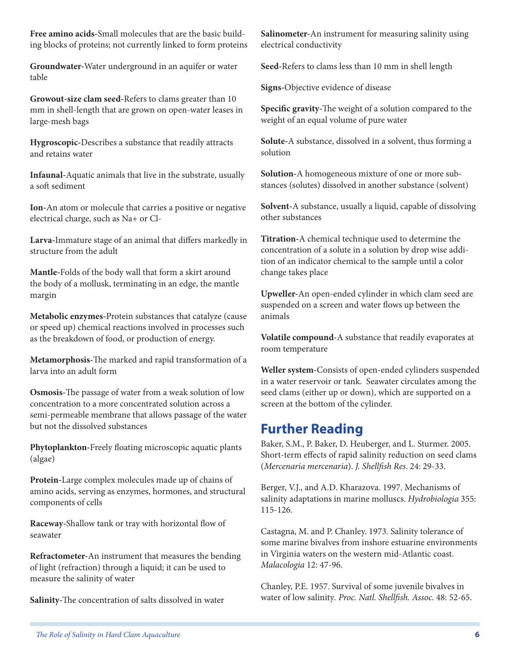**Free amino acids-**Small molecules that are the basic building blocks of proteins; not currently linked to form proteins

**Groundwater-**Water underground in an aquifer or water table

**Growout-size clam seed-**Refers to clams greater than 10 mm in shell-length that are grown on open-water leases in large-mesh bags

**Hygroscopic-**Describes a substance that readily attracts and retains water

**Infaunal-**Aquatic animals that live in the substrate, usually a soft sediment

**Ion-**An atom or molecule that carries a positive or negative electrical charge, such as Na+ or Cl-

**Larva-**Immature stage of an animal that differs markedly in structure from the adult

**Mantle-**Folds of the body wall that form a skirt around the body of a mollusk, terminating in an edge, the mantle margin

**Metabolic enzymes-**Protein substances that catalyze (cause or speed up) chemical reactions involved in processes such as the breakdown of food, or production of energy.

**Metamorphosis-**The marked and rapid transformation of a larva into an adult form

**Osmosis-**The passage of water from a weak solution of low concentration to a more concentrated solution across a semi-permeable membrane that allows passage of the water but not the dissolved substances

**Phytoplankton-**Freely floating microscopic aquatic plants (algae)

**Protein-**Large complex molecules made up of chains of amino acids, serving as enzymes, hormones, and structural components of cells

**Raceway-**Shallow tank or tray with horizontal flow of seawater

**Refractometer-**An instrument that measures the bending of light (refraction) through a liquid; it can be used to measure the salinity of water

**Salinity-**The concentration of salts dissolved in water

**Salinometer-**An instrument for measuring salinity using electrical conductivity

**Seed-**Refers to clams less than 10 mm in shell length

**Signs-**Objective evidence of disease

**Specific gravity-**The weight of a solution compared to the weight of an equal volume of pure water

**Solute-**A substance, dissolved in a solvent, thus forming a solution

**Solution-**A homogeneous mixture of one or more substances (solutes) dissolved in another substance (solvent)

**Solvent-**A substance, usually a liquid, capable of dissolving other substances

**Titration-**A chemical technique used to determine the concentration of a solute in a solution by drop wise addition of an indicator chemical to the sample until a color change takes place

**Upweller-**An open-ended cylinder in which clam seed are suspended on a screen and water flows up between the animals

**Volatile compound-**A substance that readily evaporates at room temperature

**Weller system-**Consists of open-ended cylinders suspended in a water reservoir or tank. Seawater circulates among the seed clams (either up or down), which are supported on a screen at the bottom of the cylinder.

### **Further Reading**

Baker, S.M., P. Baker, D. Heuberger, and L. Sturmer. 2005. Short-term effects of rapid salinity reduction on seed clams (*Mercenaria mercenaria*). *J. Shellfish Res*. 24: 29-33.

Berger, V.J., and A.D. Kharazova. 1997. Mechanisms of salinity adaptations in marine molluscs. *Hydrobiologia* 355: 115-126.

Castagna, M. and P. Chanley. 1973. Salinity tolerance of some marine bivalves from inshore estuarine environments in Virginia waters on the western mid-Atlantic coast. *Malacologia* 12: 47-96.

Chanley, P.E. 1957. Survival of some juvenile bivalves in water of low salinity*. Proc. Natl. Shellfish. Assoc.* 48: 52-65.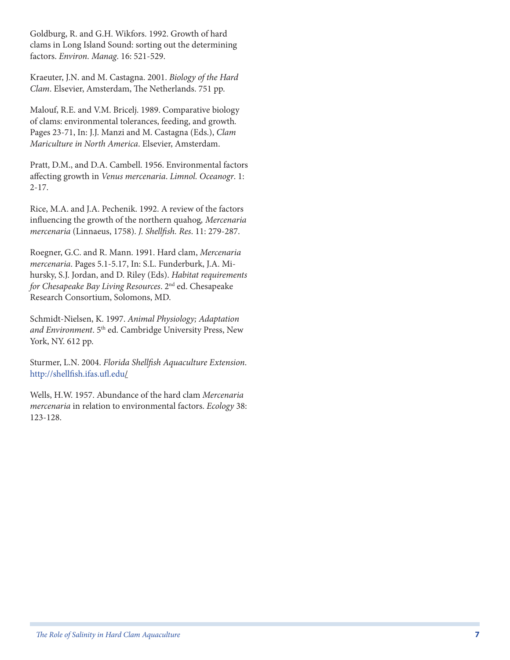Goldburg, R. and G.H. Wikfors. 1992. Growth of hard clams in Long Island Sound: sorting out the determining factors. *Environ. Manag*. 16: 521-529.

Kraeuter, J.N. and M. Castagna. 2001. *Biology of the Hard Clam*. Elsevier, Amsterdam, The Netherlands. 751 pp.

Malouf, R.E. and V.M. Bricelj. 1989. Comparative biology of clams: environmental tolerances, feeding, and growth*.* Pages 23-71, In: J.J. Manzi and M. Castagna (Eds.), *Clam Mariculture in North America*. Elsevier, Amsterdam.

Pratt, D.M., and D.A. Cambell. 1956. Environmental factors affecting growth in *Venus mercenaria*. *Limnol. Oceanogr*. 1: 2-17.

Rice, M.A. and J.A. Pechenik. 1992. A review of the factors influencing the growth of the northern quahog*, Mercenaria mercenaria* (Linnaeus, 1758). *J. Shellfish. Res*. 11: 279-287.

Roegner, G.C. and R. Mann. 1991. Hard clam, *Mercenaria mercenaria*. Pages 5.1-5.17, In: S.L. Funderburk, J.A. Mihursky, S.J. Jordan, and D. Riley (Eds). *Habitat requirements for Chesapeake Bay Living Resources*. 2nd ed. Chesapeake Research Consortium, Solomons, MD.

Schmidt-Nielsen, K. 1997. *Animal Physiology; Adaptation and Environment*. 5th ed. Cambridge University Press, New York, NY. 612 pp.

Sturmer, L.N. 2004. *Florida Shellfish Aquaculture Extension*. http://shellfish.ifas.ufl.edu/

Wells, H.W. 1957. Abundance of the hard clam *Mercenaria mercenaria* in relation to environmental factors. *Ecology* 38: 123-128.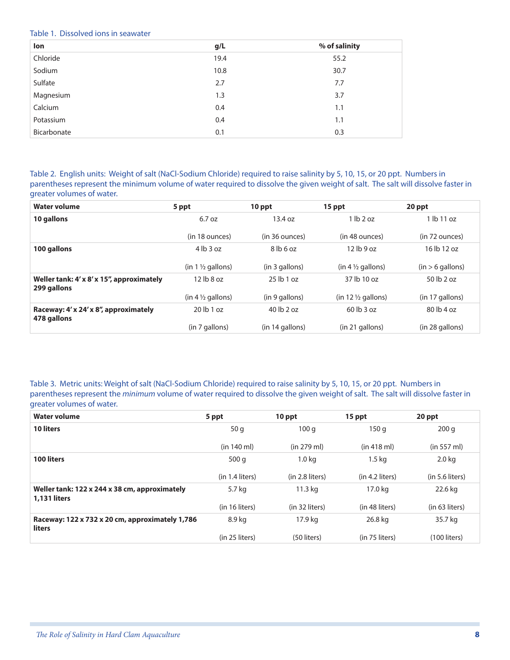#### Table 1. Dissolved ions in seawater

| lon         | g/L  | % of salinity |
|-------------|------|---------------|
| Chloride    | 19.4 | 55.2          |
| Sodium      | 10.8 | 30.7          |
| Sulfate     | 2.7  | 7.7           |
| Magnesium   | 1.3  | 3.7           |
| Calcium     | 0.4  | 1.1           |
| Potassium   | 0.4  | 1.1           |
| Bicarbonate | 0.1  | 0.3           |

Table 2. English units: Weight of salt (NaCl-Sodium Chloride) required to raise salinity by 5, 10, 15, or 20 ppt. Numbers in parentheses represent the minimum volume of water required to dissolve the given weight of salt. The salt will dissolve faster in greater volumes of water.

| <b>Water volume</b>                                      | 5 ppt                        | 10 ppt          | 15 ppt                        | 20 ppt             |
|----------------------------------------------------------|------------------------------|-----------------|-------------------------------|--------------------|
| 10 gallons                                               | 6.7 oz                       | 13.4 oz         | $1$ lb $2$ oz                 | $1$ lb $11$ oz     |
|                                                          | (in 18 ounces)               | (in 36 ounces)  | (in 48 ounces)                | (in 72 ounces)     |
| 100 gallons                                              | $4$ lb $3$ oz                | $8$ lb 6 oz     | $12$ lb $9$ oz                | 16 lb 12 oz        |
|                                                          | $(in 1 \frac{1}{2}$ gallons) | (in 3 gallons)  | $(in 4 \frac{1}{2}$ gallons)  | $(in > 6$ gallons) |
| Weller tank: 4' x 8' x 15", approximately<br>299 gallons | $12$ lb $8$ oz               | $25$ lb 1 oz    | 37 lb 10 oz                   | 50 lb 2 oz         |
|                                                          | $(in 4 \frac{1}{2}$ gallons) | (in 9 gallons)  | $(in 12 \frac{1}{2}$ gallons) | $(in 17$ gallons)  |
| Raceway: 4' x 24' x 8", approximately<br>478 gallons     | $20$ lb $1$ oz               | 40 lb 2 oz      | $60$ lb $3$ oz                | $80$ lb $4$ oz     |
|                                                          | (in 7 gallons)               | (in 14 gallons) | $(in 21$ gallons)             | (in 28 gallons)    |

Table 3. Metric units: Weight of salt (NaCl-Sodium Chloride) required to raise salinity by 5, 10, 15, or 20 ppt. Numbers in parentheses represent the *minimum* volume of water required to dissolve the given weight of salt. The salt will dissolve faster in greater volumes of water.

| <b>Water volume</b>                                                  | 5 ppt                | 10 ppt            | 15 ppt            | 20 ppt               |
|----------------------------------------------------------------------|----------------------|-------------------|-------------------|----------------------|
| <b>10 liters</b>                                                     | 50q                  | 100q              | 150 g             | 200q                 |
|                                                                      | (in 140 ml)          | (in 279 ml)       | (in 418 ml)       | (in 557 ml)          |
| <b>100 liters</b>                                                    | 500q                 | 1.0 <sub>kq</sub> | $1.5 \text{ kg}$  | $2.0$ kg             |
|                                                                      | $(in 1.4$ liters $)$ | (in 2.8 liters)   | $(in 4.2$ liters) | $(in 5.6$ liters $)$ |
| Weller tank: 122 x 244 x 38 cm, approximately<br><b>1,131 liters</b> | 5.7 kg               | 11.3 kg           | 17.0 kg           | 22.6 kg              |
|                                                                      | (in 16 liters)       | (in 32 liters)    | (in 48 liters)    | (in 63 liters)       |
| Raceway: 122 x 732 x 20 cm, approximately 1,786<br><b>liters</b>     | 8.9 kg               | 17.9 kg           | 26.8 kg           | 35.7 kg              |
|                                                                      | $(in 25$ liters)     | (50 liters)       | (in 75 liters)    | $(100$ liters)       |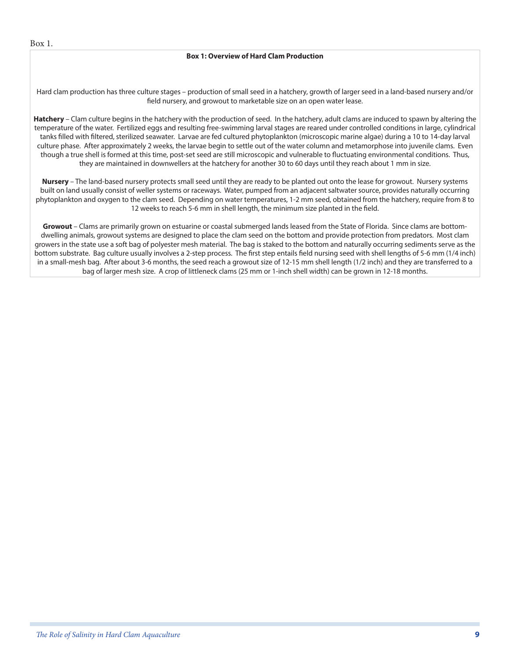#### **Box 1: Overview of Hard Clam Production**

Hard clam production has three culture stages – production of small seed in a hatchery, growth of larger seed in a land-based nursery and/or field nursery, and growout to marketable size on an open water lease.

**Hatchery** – Clam culture begins in the hatchery with the production of seed. In the hatchery, adult clams are induced to spawn by altering the temperature of the water. Fertilized eggs and resulting free-swimming larval stages are reared under controlled conditions in large, cylindrical tanks filled with filtered, sterilized seawater. Larvae are fed cultured phytoplankton (microscopic marine algae) during a 10 to 14-day larval culture phase. After approximately 2 weeks, the larvae begin to settle out of the water column and metamorphose into juvenile clams. Even though a true shell is formed at this time, post-set seed are still microscopic and vulnerable to fluctuating environmental conditions. Thus, they are maintained in downwellers at the hatchery for another 30 to 60 days until they reach about 1 mm in size.

**Nursery** – The land-based nursery protects small seed until they are ready to be planted out onto the lease for growout. Nursery systems built on land usually consist of weller systems or raceways. Water, pumped from an adjacent saltwater source, provides naturally occurring phytoplankton and oxygen to the clam seed. Depending on water temperatures, 1-2 mm seed, obtained from the hatchery, require from 8 to 12 weeks to reach 5-6 mm in shell length, the minimum size planted in the field.

**Growout** – Clams are primarily grown on estuarine or coastal submerged lands leased from the State of Florida. Since clams are bottomdwelling animals, growout systems are designed to place the clam seed on the bottom and provide protection from predators. Most clam growers in the state use a soft bag of polyester mesh material. The bag is staked to the bottom and naturally occurring sediments serve as the bottom substrate. Bag culture usually involves a 2-step process. The first step entails field nursing seed with shell lengths of 5-6 mm (1/4 inch) in a small-mesh bag. After about 3-6 months, the seed reach a growout size of 12-15 mm shell length (1/2 inch) and they are transferred to a bag of larger mesh size. A crop of littleneck clams (25 mm or 1-inch shell width) can be grown in 12-18 months.